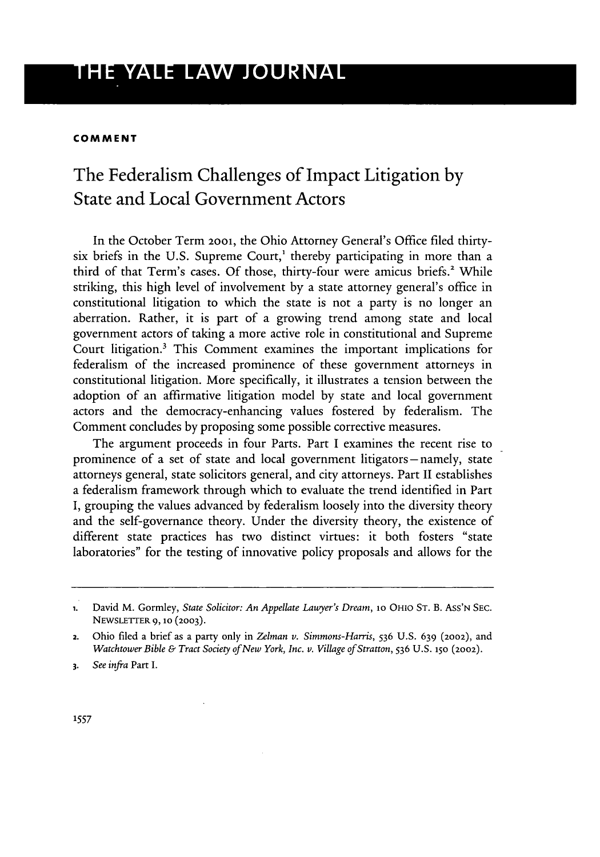## **COMMENT**

# The Federalism Challenges of Impact Litigation **by** State and Local Government Actors

In the October Term **2oo,** the Ohio Attorney General's Office filed thirtysix briefs in the **U.S.** Supreme Court,' thereby participating in more than a third of that Term's cases. Of those, thirty-four were amicus briefs.<sup>2</sup> While striking, this high level of involvement by a state attorney general's office in constitutional litigation to which the state is not a party is no longer an aberration. Rather, it is part of a growing trend among state and local government actors of taking a more active role in constitutional and Supreme Court litigation.3 This Comment examines the important implications for federalism of the increased prominence of these government attorneys in constitutional litigation. More specifically, it illustrates a tension between the adoption of an affirmative litigation model by state and local government actors and the democracy-enhancing values fostered by federalism. The Comment concludes by proposing some possible corrective measures.

The argument proceeds in four Parts. Part I examines the recent rise to prominence of a set of state and local government litigators- namely, state attorneys general, state solicitors general, and city attorneys. Part **II** establishes a federalism framework through which to evaluate the trend identified in Part **I,** grouping the values advanced by federalism loosely into the diversity theory and the self-governance theory. Under the diversity theory, the existence of different state practices has two distinct virtues: it both fosters "state laboratories" for the testing of innovative policy proposals and allows for the

1557

**<sup>1.</sup>** David M. Gormley, *State Solicitor: An Appellate Lawyer's Dream,* iO OHIO **ST.** B. ASS'N **SEC. NEWSLETTER** 9, **10 (2003).**

<sup>2.</sup> Ohio filed a brief as a party only in *Zelman v. Simmons-Harris,* 536 U.S. 639 (2002), and *Watchtower Bible & Tract Society of New York, Inc. v. Village of Stratton, 536 U.S. 150 (2002).* 

**<sup>3.</sup>** *See infra* Part I.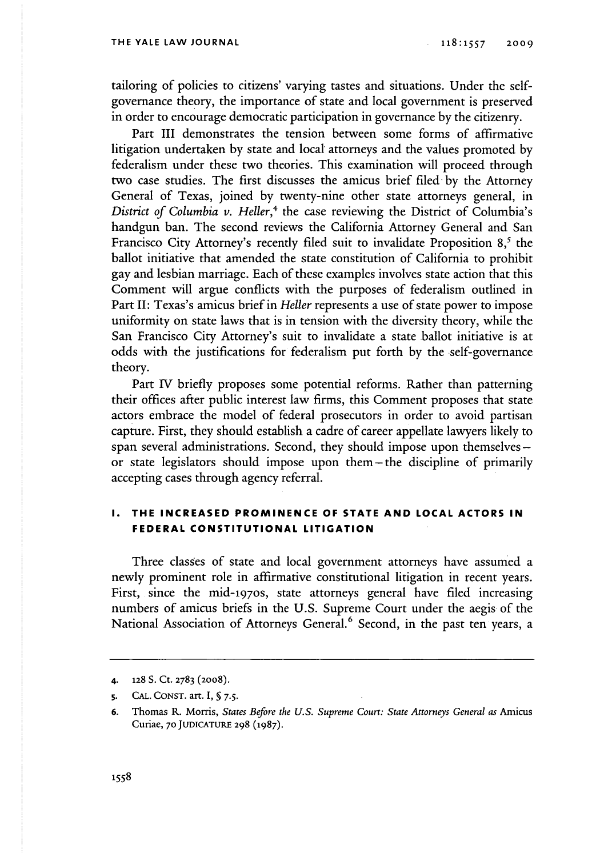tailoring of policies to citizens' varying tastes and situations. Under the selfgovernance theory, the importance of state and local government is preserved in order to encourage democratic participation in governance by the citizenry.

Part III demonstrates the tension between some forms of affirmative litigation undertaken by state and local attorneys and the values promoted by federalism under these two theories. This examination will proceed through two case studies. The first discusses the amicus brief filed by the Attorney General of Texas, joined by twenty-nine other state attorneys general, in *District of Columbia v. Heller*,<sup>4</sup> the case reviewing the District of Columbia's handgun ban. The second reviews the California Attorney General and San Francisco City Attorney's recently filed suit to invalidate Proposition  $8<sub>5</sub>$  the ballot initiative that amended the state constitution of California to prohibit gay and lesbian marriage. Each of these examples involves state action that this Comment will argue conflicts with the purposes of federalism outlined in Part II: Texas's amicus brief in *Heller* represents a use of state power to impose uniformity on state laws that is in tension with the diversity theory, while the San Francisco City Attorney's suit to invalidate a state ballot initiative is at odds with the justifications for federalism put forth by the self-governance theory.

Part IV briefly proposes some potential reforms. Rather than patterning their offices after public interest law firms, this Comment proposes that state actors embrace the model of federal prosecutors in order to avoid partisan capture. First, they should establish a cadre of career appellate lawyers likely to span several administrations. Second, they should impose upon themselves  or state legislators should impose upon them-the discipline of primarily accepting cases through agency referral.

# **I. THE INCREASED PROMINENCE OF STATE AND LOCAL ACTORS IN FEDERAL CONSTITUTIONAL LITIGATION**

Three classes of state and local government attorneys have assumed a newly prominent role in affirmative constitutional litigation in recent years. First, since the mid-197os, state attorneys general have filed increasing numbers of amicus briefs in the U.S. Supreme Court under the aegis of the National Association of Attorneys General.<sup>6</sup> Second, in the past ten years, a

<sup>4-</sup> **128** S. Ct. **2783** (2008).

**<sup>5.</sup> CAL. CONST.** art. I, **§ 7.5.**

**<sup>6.</sup>** Thomas R. Morris, *States Before the U.S. Supreme Court: State Attorneys General as* Amicus Curiae, **70 JUDICATURE 298 (1987).**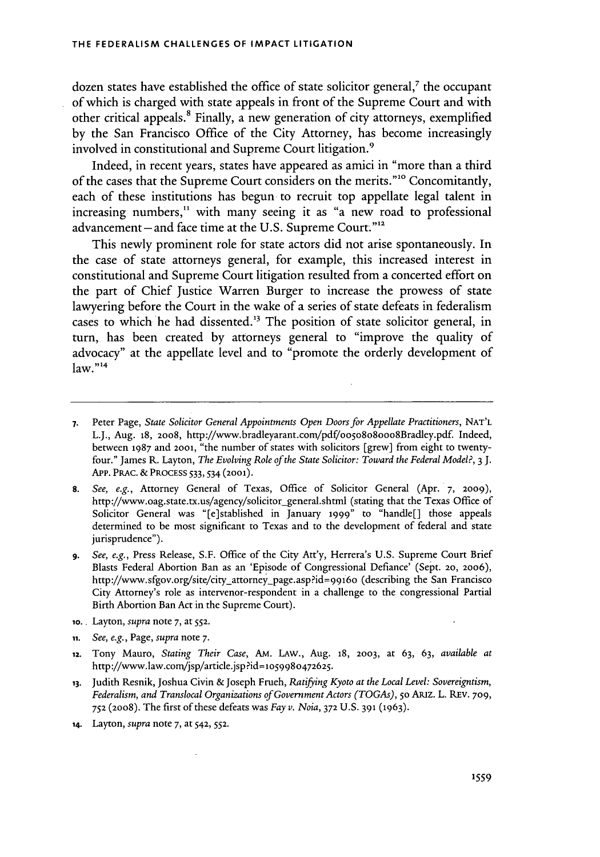dozen states have established the office of state solicitor general, $\bar{z}$  the occupant of which is charged with state appeals in front of the Supreme Court and with other critical appeals.<sup>8</sup> Finally, a new generation of city attorneys, exemplified by the San Francisco Office of the City Attorney, has become increasingly involved in constitutional and Supreme Court litigation.<sup>9</sup>

Indeed, in recent years, states have appeared as amici in "more than a third of the cases that the Supreme Court considers on the merits."<sup>10</sup> Concomitantly, each of these institutions has begun to recruit top appellate legal talent in increasing numbers," with many seeing it as "a new road to professional advancement-and face time at the **U.S.** Supreme **Court." <sup>2</sup>**

This newly prominent role for state actors did not arise spontaneously. In the case of state attorneys general, for example, this increased interest in constitutional and Supreme Court litigation resulted from a concerted effort on the part of Chief Justice Warren Burger to increase the prowess of state lawyering before the Court in the wake of a series of state defeats in federalism cases to which he had dissented.<sup>13</sup> The position of state solicitor general, in turn, has been created by attorneys general to "improve the quality of advocacy" at the appellate level and to "promote the orderly development of law."14

- 8. *See, e.g.,* Attorney General of Texas, Office of Solicitor General (Apr. **7,** 2009), http://www.oag.state.tx.us/agency/solicitor\_general.shtml (stating that the Texas Office of Solicitor General was "[e]stablished in January **1999"** to "handle[] those appeals determined to be most significant to Texas and to the development of federal and state jurisprudence").
- **9.** *See, e.g.,* Press Release, S.F. Office of the City Att'y, Herrera's U.S. Supreme Court Brief Blasts Federal Abortion Ban as an 'Episode of Congressional Defiance' (Sept. 20, 20o6), http://www.sfgov.org/site/city\_attorney\_page.asp?id=99160 (describing the San Francisco City Attorney's role as intervenor-respondent in a challenge to the congressional Partial Birth Abortion Ban Act in the Supreme Court).
- **io..** Layton, *supra* note **7,** at 552.
- **11.** *See, e.g.,* Page, *supra* note **7.**
- **12.** Tony Mauro, *Stating Their Case,* AM. LAw., Aug. **18, 2003,** at **63, 63,** *available at* http://www.law.com/jsp/article.jsp?id=1059980472625.
- **13.** Judith Resnik, Joshua Civin & Joseph Frueh, *Ratifying Kyoto at the Local Level: Sovereigntism, Federalism, and Translocal Organizations of Government Actors (TOGAs), 50* ARIz. L. REV. **709, 752** (20o8). The first of these defeats was Fay *v. Noia,* **372 U.S. 391 (1963).**
- **14.** Layton, *supra* note **7,** at 542, 552.

<sup>7.</sup> Peter Page, *State Solicitor General Appointments Open Doors for Appellate Practitioners,* NAT'L L.J., Aug. **18,** 2008, http://www.bradleyarant.com/pdf/oo5o8o8ooo8Bradey.pdf. Indeed, between 1987 and 2001, "the number of states with solicitors [grew] from eight to twentyfour." James R. Layton, *The Evolving Role of the State Solicitor: Toward the Federal Model?, 3* J. App. PRAC. & PROCESS 533, 534 (2001).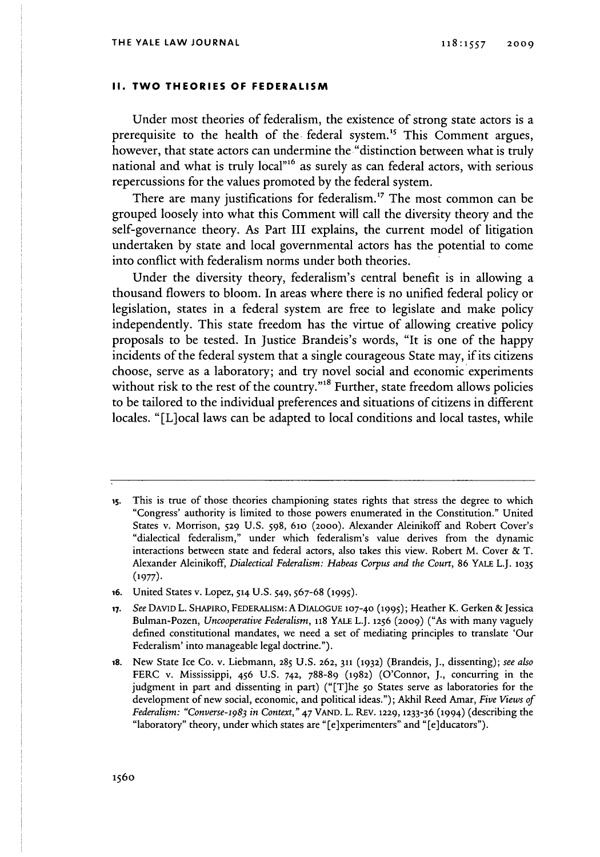### **II. TWO THEORIES OF FEDERALISM**

Under most theories of federalism, the existence of strong state actors is a prerequisite to the health of the federal system.<sup>15</sup> This Comment argues, however, that state actors can undermine the "distinction between what is truly national and what is truly local"<sup>16</sup> as surely as can federal actors, with serious repercussions for the values promoted by the federal system.

There are many justifications for federalism.<sup>17</sup> The most common can be grouped loosely into what this Comment will call the diversity theory and the self-governance theory. As Part III explains, the current model of litigation undertaken by state and local governmental actors has the potential to come into conflict with federalism norms under both theories.

Under the diversity theory, federalism's central benefit is in allowing a thousand flowers to bloom. In areas where there is no unified federal policy or legislation, states in a federal system are free to legislate and make policy independently. This state freedom has the virtue of allowing creative policy proposals to be tested. In Justice Brandeis's words, "It is one of the happy incidents of the federal system that a single courageous State may, if its citizens choose, serve as a laboratory; and try novel social and economic experiments without risk to the rest of the country."" **Further,** state freedom allows policies to be tailored to the individual preferences and situations of citizens in different locales. "[L]ocal laws can be adapted to local conditions and local tastes, while

16. United States v. Lopez, 514 U.S. 549, 567-68 **(1995).**

<sup>15.</sup> This is true of those theories championing states rights that stress the degree to which "Congress' authority is limited to those powers enumerated in the Constitution." United States v. Morrison, **529** U.S. 598, 61o **(2000).** Alexander Aleinikoff and Robert Cover's "dialectical federalism," under which federalism's value derives from the dynamic interactions between state and federal actors, also takes this view. Robert M. Cover & T. Alexander Aleinikoff, *Dialectical Federalism: Habeas Corpus and the Court,* 86 YALE L.J. **1035 (1977).**

**<sup>17.</sup>** *See* **DAVID** L. SHAPIRO, FEDERALISM: A **DIALOGUE** 107-40 **(1995);** Heather K. Gerken & Jessica Bulman-Pozen, *Uncooperative Federalism,* **118** YALE L.J. **1256** (2009) ("As with many vaguely defined constitutional mandates, we need a set of mediating principles to translate 'Our Federalism' into manageable legal doctrine.").

**<sup>18.</sup>** New State Ice Co. v. Liebmann, **285** U.S. **262, 311 (1932)** (Brandeis, J., dissenting); *see also* FERC v. Mississippi, 456 U.S. 742, 788-89 **(1982)** (O'Connor, J., concurring in the judgment in part and dissenting in part) ("[T]he **50** States serve as laboratories for the development of new social, economic, and political ideas."); Akhil Reed Amar, *Five Views of Federalism: "Converse-1983 in Context," 47* VAND. L. REV. **1229,1233-36** (1994) (describing the "laboratory" theory, under which states are "[e]xperimenters" and "[e]ducators").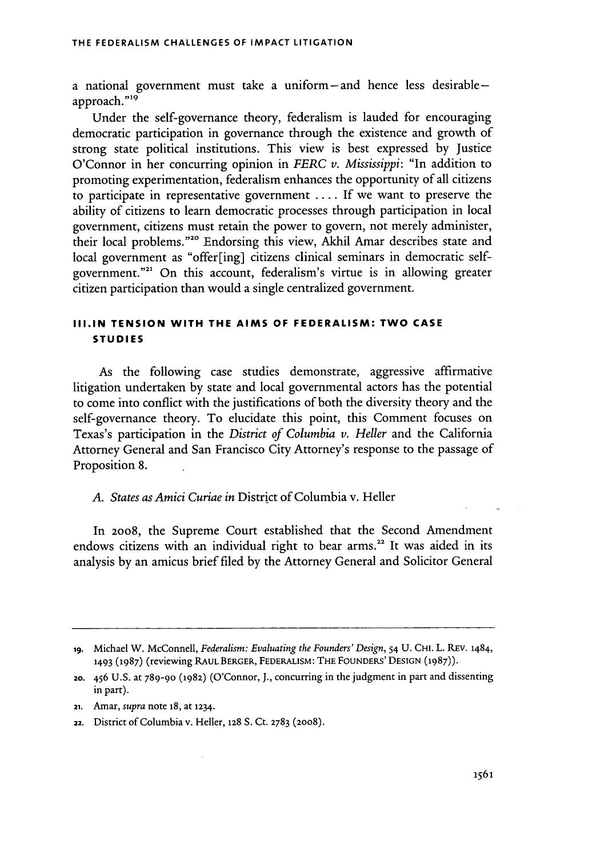a national government must take a uniform-and hence less desirableapproach."<sup>19</sup>

Under the self-governance theory, federalism is lauded for encouraging democratic participation in governance through the existence and growth of strong state political institutions. This view is best expressed by Justice O'Connor in her concurring opinion in *FERC v. Mississippi:* "In addition to promoting experimentation, federalism enhances the opportunity of all citizens to participate in representative government .... If we want to preserve the ability of citizens to learn democratic processes through participation in local government, citizens must retain the power to govern, not merely administer, their local problems."<sup>20</sup> Endorsing this view, Akhil Amar describes state and local government as "offer[ing] citizens clinical seminars in democratic selfgovernment."<sup>21</sup> On this account, federalism's virtue is in allowing greater citizen participation than would a single centralized government.

# **III.IN TENSION WITH THE AIMS OF FEDERALISM: TWO CASE STUDIES**

As the following case studies demonstrate, aggressive affirmative litigation undertaken by state and local governmental actors has the potential to come into conflict with the justifications of both the diversity theory and the self-governance theory. To elucidate this point, this Comment focuses on Texas's participation in the *District of Columbia v. Heller* and the California Attorney General and San Francisco City Attorney's response to the passage of Proposition 8.

## *A. States as Amici Curiae in* District of Columbia v. Heller

In 2008, the Supreme Court established that the Second Amendment endows citizens with an individual right to bear arms.<sup>22</sup> It was aided in its analysis by an amicus brief filed by the Attorney General and Solicitor General

**21.** Amar, *supra* note **18,** at 1234.

**<sup>19.</sup>** Michael W. McConnell, *Federalism: Evaluating the Founders' Design, 54* U. CHI. **L.** REv. 1484, 1493 **(1987)** (reviewing RAUL BERGER, FEDERALISM: THE **FOUNDERS' DESIGN (1987)).**

<sup>20. 456</sup> **U.S.** at 789-90 (1982) (O'Connor, J., concurring in the judgment in part and dissenting in part).

**<sup>22.</sup>** District of Columbia v. Heller, **128** S. Ct. **2783** (20o8).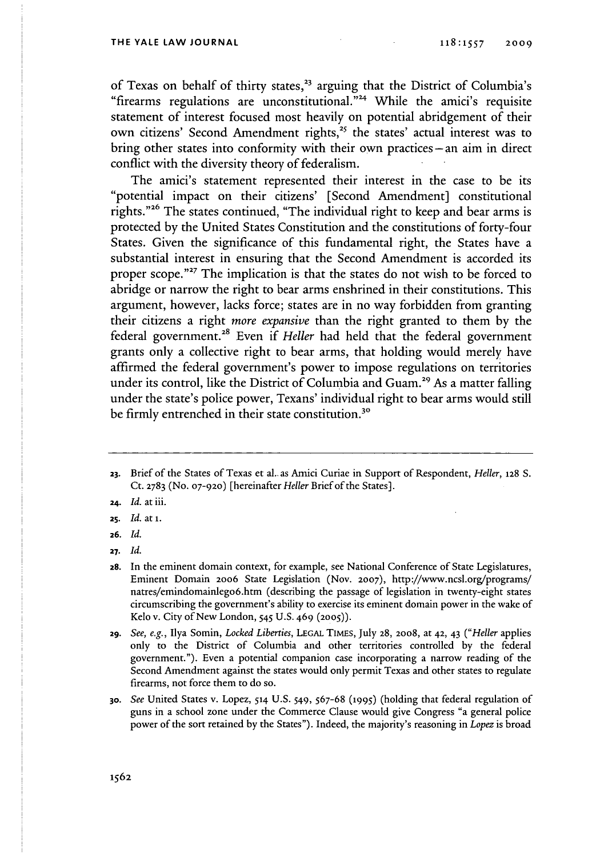#### **THE YALE LAW JOURNAL**

of Texas on behalf of thirty states,<sup>23</sup> arguing that the District of Columbia's "firearms regulations are unconstitutional."<sup>24</sup> While the amici's requisite statement of interest focused most heavily on potential abridgement of their own citizens' Second Amendment rights,<sup>25</sup> the states' actual interest was to bring other states into conformity with their own practices-an aim in direct conflict with the diversity theory of federalism.

The amici's statement represented their interest in the case to be its "potential impact on their citizens' [Second Amendment] constitutional rights."<sup>26</sup> The states continued, "The individual right to keep and bear arms is protected by the United States Constitution and the constitutions of forty-four States. Given the significance of this fundamental right, the States have a substantial interest in ensuring that the Second Amendment is accorded its proper scope."<sup>27</sup> The implication is that the states do not wish to be forced to abridge or narrow the right to bear arms enshrined in their constitutions. This argument, however, lacks force; states are in no way forbidden from granting their citizens a right *more expansive* than the right granted to them by the federal government.<sup>28</sup> Even if *Heller* had held that the federal government grants only a collective right to bear arms, that holding would merely have affirmed the federal government's power to impose regulations on territories under its control, like the District of Columbia and Guam.<sup>29</sup> As a matter falling under the state's police power, Texans' individual right to bear arms would still be firmly entrenched in their state constitution.<sup>30</sup>

**27.** *id.*

**<sup>23.</sup>** Brief of the States of Texas et al.. as Amici Curiae in Support of Respondent, Heller, **128 S.** Ct. **2783** (No. **07-920)** [hereinafter *Heller* Brief of the States].

**<sup>24.</sup>** *Id.* at iii.

**<sup>25.</sup>** *Id.* at **1.**

*<sup>26.</sup> Id.*

**<sup>28.</sup>** In the eminent domain context, for example, see National Conference of State Legislatures, Eminent Domain 2006 State Legislation (Nov. **2007),** http://www.ncsl.org/programs/ natres/emindomainlego6.htm (describing the passage of legislation in twenty-eight states circumscribing the government's ability to exercise its eminent domain power in the wake of Kelo v. City of New London, *545* U.S. 469 **(2005)).**

**<sup>29.</sup>** *See, e.g.,* Ilya Somin, *Locked Liberties,* **LEGAL** TIMES, July **28,** 20o8, at 42, 43 *("Heller* applies only to the District of Columbia and other territories controlled by the federal government."). Even a potential companion case incorporating a narrow reading of the Second Amendment against the states would only permit Texas and other states to regulate firearms, not force them to do so.

*<sup>30.</sup> See* United States v. Lopez, 514 U.S. 549, 567-68 **(1995)** (holding that federal regulation of guns in a school zone under the Commerce Clause would give Congress "a general police power of the sort retained by the States"). Indeed, the majority's reasoning in *Lopez* is broad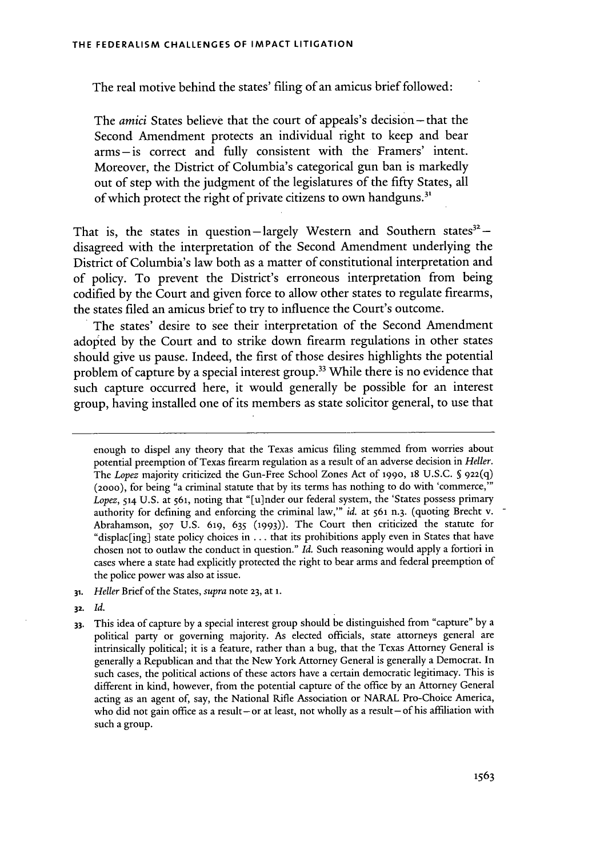The real motive behind the states' filing of an amicus brief followed:

The *amici* States believe that the court of appeals's decision – that the Second Amendment protects an individual right to keep and bear arms-is correct and fully consistent with the Framers' intent. Moreover, the District of Columbia's categorical gun ban is markedly out of step with the judgment of the legislatures of the fifty States, all of which protect the right of private citizens to own handguns.<sup>31</sup>

That is, the states in question-largely Western and Southern states $3^2$ disagreed with the interpretation of the Second Amendment underlying the District of Columbia's law both as a matter of constitutional interpretation and of policy. To prevent the District's erroneous interpretation from being codified by the Court and given force to allow other states to regulate firearms, the states filed an amicus brief to try to influence the Court's outcome.

The states' desire to see their interpretation of the Second Amendment adopted by the Court and to strike down firearm regulations in other states should give us pause. Indeed, the first of those desires highlights the potential problem of capture by a special interest group.<sup>33</sup> While there is no evidence that such capture occurred here, it would generally be possible for an interest group, having installed one of its members as state solicitor general, to use that

enough to dispel any theory that the Texas amicus filing stemmed from worries about potential preemption of Texas firearm regulation as a result of an adverse decision in *Heller.* The *Lopez* majority criticized the Gun-Free School Zones Act of 199o, **18** U.S.C. **§ 922(q) (2000),** for being "a criminal statute that by its terms has nothing to do with 'commerce,"' *Lopez,* 514 U.S. at **561,** noting that "[u]nder our federal system, the 'States possess primary authority for defining and enforcing the criminal law,"' *id.* at 561 n.3. (quoting Brecht v. Abrahamson, **507** U.S. **619,** 635 **(1993)).** The Court then criticized the statute for "displac[ing] state policy choices in ... that its prohibitions apply even in States that have chosen not to outlaw the conduct in question." *Id.* Such reasoning would apply a fortiori in cases where a state had explicitly protected the right to bear arms and federal preemption of the police power was also at issue.

- **31.** *Heller* Brief of the States, *supra* note **23,** at **1.**
- **32.** *Id.*
- **33.** This idea of capture **by** a special interest group should be distinguished from "capture" **by** a political party or governing majority. As elected officials, state attorneys general are intrinsically political; **it** is a feature, rather than a bug, that the Texas Attorney General is generally a Republican and that the New York Attorney General is generally a Democrat. In such cases, the political actions of these actors have a certain democratic legitimacy. This is different in kind, however, from the potential capture of the office **by** an Attorney General acting as an agent of, say, the National Rifle Association or NARAL Pro-Choice America, who did not gain office as a result **-or** at least, not wholly as a result- of his affiliation with such a group.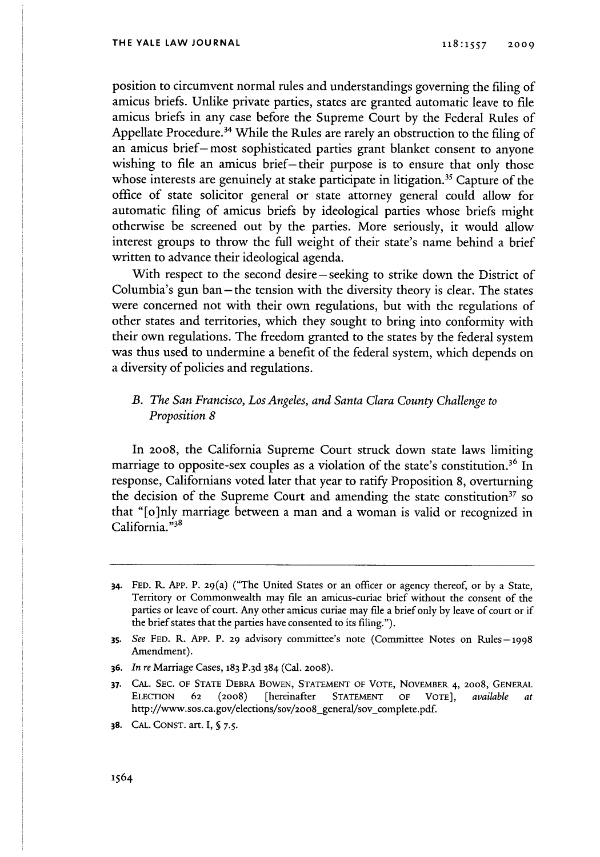position to circumvent normal rules and understandings governing the filing of amicus briefs. Unlike private parties, states are granted automatic leave to file amicus briefs in any case before the Supreme Court by the Federal Rules of Appellate Procedure.<sup>34</sup> While the Rules are rarely an obstruction to the filing of an amicus brief- most sophisticated parties grant blanket consent to anyone wishing to file an amicus brief-their purpose is to ensure that only those whose interests are genuinely at stake participate in litigation.<sup>35</sup> Capture of the office of state solicitor general or state attorney general could allow for automatic filing of amicus briefs by ideological parties whose briefs might otherwise be screened out by the parties. More seriously, it would allow interest groups to throw the full weight of their state's name behind a brief written to advance their ideological agenda.

With respect to the second desire – seeking to strike down the District of Columbia's gun ban-the tension with the diversity theory is clear. The states were concerned not with their own regulations, but with the regulations of other states and territories, which they sought to bring into conformity with their own regulations. The freedom granted to the states by the federal system was thus used to undermine a benefit of the federal system, which depends on a diversity of policies and regulations.

# *B. The San Francisco, Los Angeles, and Santa Clara County Challenge to Proposition 8*

In 2008, the California Supreme Court struck down state laws limiting marriage to opposite-sex couples as a violation of the state's constitution.<sup>36</sup> In response, Californians voted later that year to ratify Proposition 8, overturning the decision of the Supreme Court and amending the state constitution<sup>37</sup> so that "[o]nly marriage between a man and a woman is valid or recognized in California.<sup>"38</sup>

- **36.** *In re* Marriage Cases, **183** P. 3d 384 (Cal. 2008).
- **37. CAL. SEC. OF STATE** DEBRA BOWEN, **STATEMENT OF** VOTE, NOVEMBER 4, 2008, **GENERAL ELECTION 62** (2008) [hereinafter **STATEMENT** OF VOTE], *available at* http://www.sos.ca.gov/elections/sov/2008\_general/sov\_complete.pdf.
- **38.** CAL. **CONST.** art. I, **S 7.5.**

<sup>34.</sup> **FED. R. APP.** P. 29(a) ("The United States or an officer or agency thereof, or by a State, Territory or Commonwealth may file an amicus-curiae brief without the consent of the parties or leave of court. Any other amicus curiae may file a brief only by leave of court or if the brief states that the parties have consented to its filing.").

**<sup>35.</sup>** *See* **FED.** R. APP. P. 29 advisory committee's note (Committee Notes on Rules-1998 Amendment).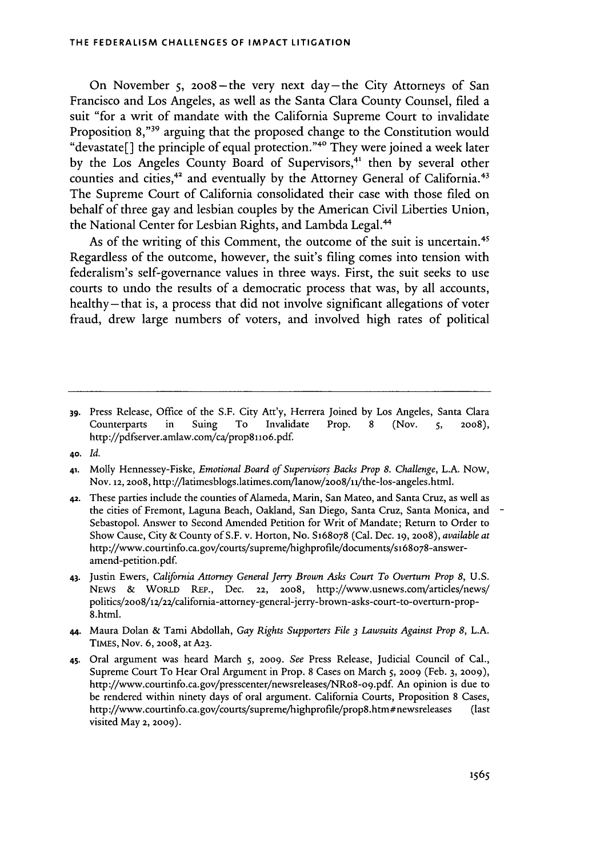On November *5,* 20o8-the very next day-the City Attorneys of San Francisco and Los Angeles, as well as the Santa Clara County Counsel, filed a suit "for a writ of mandate with the California Supreme Court to invalidate Proposition 8,"<sup>39</sup> arguing that the proposed change to the Constitution would "devastate[] the principle of equal protection."40 They were joined a week later by the Los Angeles County Board of Supervisors,<sup>41</sup> then by several other counties and cities, $4^2$  and eventually by the Attorney General of California. $4^3$ The Supreme Court of California consolidated their case with those filed on behalf of three gay and lesbian couples by the American Civil Liberties Union, the National Center for Lesbian Rights, and Lambda Legal.<sup>44</sup>

As of the writing of this Comment, the outcome of the suit is uncertain.<sup>45</sup> Regardless of the outcome, however, the suit's filing comes into tension with federalism's self-governance values in three ways. First, the suit seeks to use courts to undo the results of a democratic process that was, by all accounts, healthy - that is, a process that did not involve significant allegations of voter fraud, drew large numbers of voters, and involved high rates of political

**40.** *Id.*

- **42.** These parties include the counties of Alameda, Marin, San Mateo, and Santa Cruz, as well as the cities of Fremont, Laguna Beach, Oakland, San Diego, Santa Cruz, Santa Monica, and Sebastopol. Answer to Second Amended Petition for Writ of Mandate; Return to Order to Show Cause, City & County of S.F. v. Horton, No. S168o78 (Cal. Dec. **19,** 20o8), *available at* http ://www.courtinfo.ca.gov/courts/supreme/highprofile/documents/s168078-answeramend-petition.pdf.
- **43.** Justin Ewers, *California Attorney General Jerry Brown Asks Court To Overturn Prop 8,* U.S. **NEWS &** WORLD REP., Dec. **22,** 20o8, http://www.usnews.com/articles/news/ politics/2o08/12/22/califomia-attorney-general-jerry-brown-asks-court-to-overturn-prop-8.html.
- **44.** Maura Dolan & Tami Abdollah, *Gay Rights Supporters File 3 Lawsuits Against Prop 8,* L.A. TIMES, Nov. 6, **2008,** at **A23.**
- **4S.** Oral argument was heard March **5,** 2009. *See* Press Release, Judicial Council of Cal., Supreme Court To Hear Oral Argument in Prop. 8 Cases on March 5, 2009 (Feb. 3, **2009),** http://www.courtinfo.ca.gov/presscenter/newsreleases/NRo8-o9.pdf. An opinion is due to be rendered within ninety days of oral argument. California Courts, Proposition 8 Cases, http://www.courtinfo.ca.gov/courts/supreme/highprofile/prop8.htm#newsreleases (last visited May 2, 2009).

**<sup>39.</sup>** Press Release, Office of the S.F. City Att'y, Herrera Joined by Los Angeles, Santa Clara Counterparts in Suing To Invalidate Prop. 8 (Nov. **5,** 20o8), http://pdfserver.amlaw.com/ca/prop8lio6.pdf.

**<sup>41.</sup>** Molly Hennessey-Fiske, *Emotional Board of Supervisors Backs Prop 8. Challenge,* **L.A.** Now, Nov. 12, 2008, http://latimesblogs.latimes.com/lanow/2008/11/the-los-angeles.html.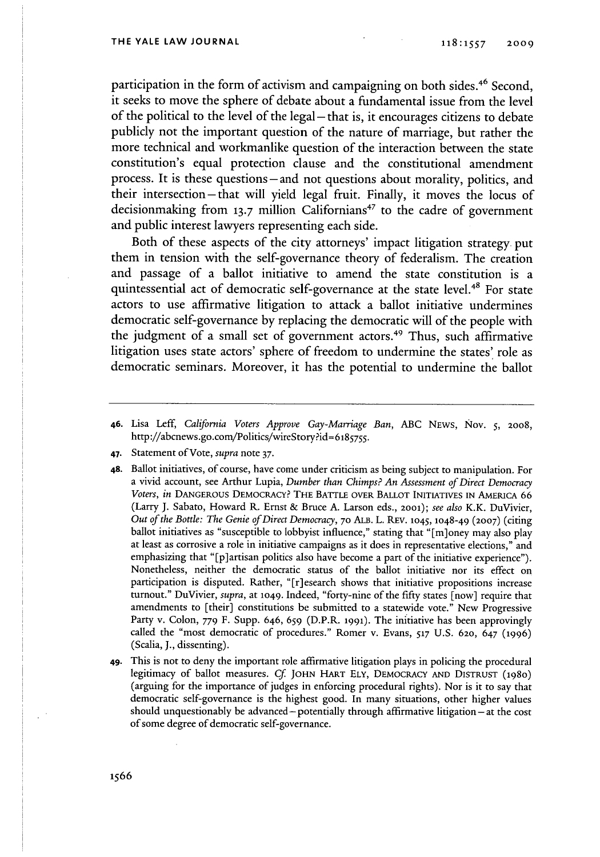participation in the form of activism and campaigning on both sides.<sup>46</sup> Second, it seeks to move the sphere of debate about a fundamental issue from the level of the political to the level of the legal  $-$  that is, it encourages citizens to debate publicly not the important question of the nature of marriage, but rather the more technical and workmanlike question of the interaction between the state constitution's equal protection clause and the constitutional amendment process. It is these questions -and not questions about morality, politics, and their intersection **-** that will yield legal fruit. Finally, it moves the locus of decisionmaking from 13.7 million Californians<sup> $47$ </sup> to the cadre of government and public interest lawyers representing each side.

Both of these aspects of the city attorneys' impact litigation strategy put them in tension with the self-governance theory of federalism. The creation and passage of a ballot initiative to amend the state constitution is a quintessential act of democratic self-governance at the state level.<sup>48</sup> For state actors to use affirmative litigation to attack a ballot initiative undermines democratic self-governance by replacing the democratic will of the people with the judgment of a small set of government actors.<sup>49</sup> Thus, such affirmative litigation uses state actors' sphere of freedom to undermine the states' role as democratic seminars. Moreover, it has the potential to undermine the ballot

- 47. Statement of Vote, *supra* note 37.
- 48. Ballot initiatives, of course, have come under criticism as being subject to manipulation. For a vivid account, see Arthur Lupia, *Dumber than Chimps? An Assessment of Direct Democracy Voters, in* DANGERous DEMOCRACY? THE BATrLE OVER BALLOT INITIATIVES **IN** AMERICA 66 (Larry J. Sabato, Howard R. Ernst & Bruce A. Larson eds., 2001); *see also* K.K. DuVivier, *Out of the Bottle: The Genie of Direct Democracy,* 7o ALB. L. REv. **1045,** 1048-49 **(2007)** (citing ballot initiatives as "susceptible to lobbyist influence," stating that "[m]oney may also play at least as corrosive a role in initiative campaigns as it does in representative elections," and emphasizing that "[p]artisan politics also have become a part of the initiative experience"). Nonetheless, neither the democratic status of the ballot initiative nor its effect on participation is disputed. Rather, "[r]esearch shows that initiative propositions increase turnout." DuVivier, *supra,* at **1049.** Indeed, "forty-nine of the fifty states [now] require that amendments to [their] constitutions be submitted to a statewide vote." New Progressive Party v. Colon, 779 F. Supp. 646, 659 (D.P.R. **1991).** The initiative has been approvingly called the "most democratic of procedures." Romer v. Evans, **517** U.S. **620,** 647 (1996) (Scalia, J., dissenting).
- **49.** This is not to deny the important role affirmative litigation plays in policing the procedural legitimacy of ballot measures. Cf JOHN HART ELY, DEMOCRACY AND **DISTRUST (1980)** (arguing for the importance of judges in enforcing procedural rights). Nor is it to say that democratic self-governance is the highest good. In many situations, other higher values should unquestionably be advanced **-** potentially through affirmative litigation **-** at the cost of some degree of democratic self-governance.

**<sup>46.</sup>** Lisa Leff, *California Voters Approve Gay-Marriage Ban,* ABC NEWS, Nov. **5, 2008,** http://abcnews.go.com/Politics/wireStory?id=6185755.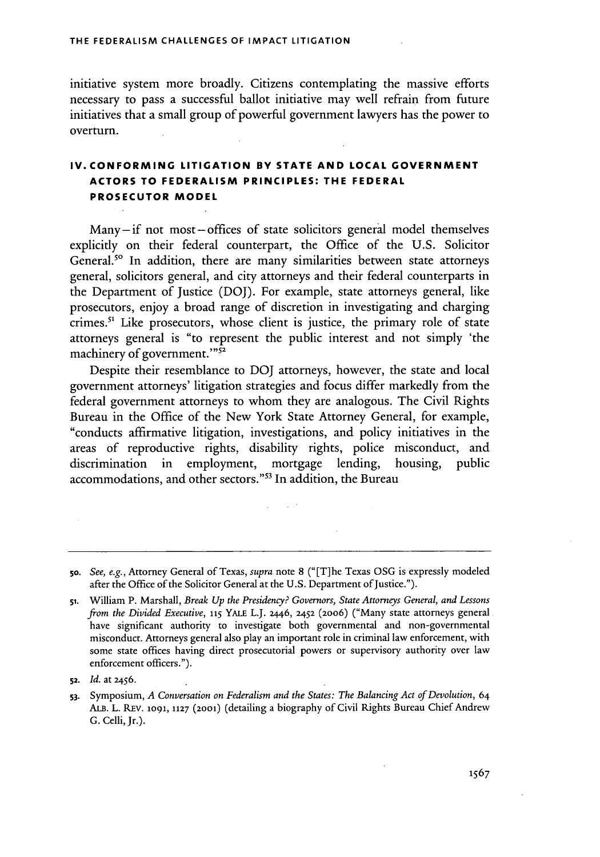initiative system more broadly. Citizens contemplating the massive efforts necessary to pass a successful ballot initiative may well refrain from future initiatives that a small group of powerful government lawyers has the power to overturn.

# **IV. CONFORMING LITIGATION BY STATE AND LOCAL GOVERNMENT ACTORS TO FEDERALISM PRINCIPLES: THE FEDERAL PROSECUTOR MODEL**

Many-if not most-offices of state solicitors general model themselves explicitly on their federal counterpart, the Office of the U.S. Solicitor General.<sup>50</sup> In addition, there are many similarities between state attorneys general, solicitors general, and city attorneys and their federal counterparts in the Department of Justice (DOJ). For example, state attorneys general, like prosecutors, enjoy a broad range of discretion in investigating and charging crimes." Like prosecutors, whose client is justice, the primary role of state attorneys general is "to represent the public interest and not simply 'the machinery of government."<sup>52</sup>

Despite their resemblance to **DOJ** attorneys, however, the state and local government attorneys' litigation strategies and focus differ markedly from the federal government attorneys to whom they are analogous. The Civil Rights Bureau in the Office of the New York State Attorney General, for example, "conducts affirmative litigation, investigations, and policy initiatives in the areas of reproductive rights, disability rights, police misconduct, and discrimination in employment, mortgage lending, housing, public accommodations, and other sectors."<sup>53</sup> In addition, the Bureau

**<sup>50.</sup>** *See, e.g.,* Attorney General of Texas, *supra* note **8** ("[T] he Texas **OSG** is expressly modeled after the Office of the Solicitor General at the **U.S.** Department of Justice.").

**<sup>51.</sup>** William P. Marshall, *Break Up the Presidency? Governors, State Attorneys General, and Lessons from the Divided Executive,* **115 YALE** L.J. 2446, 2452 (2006) ("Many state attorneys general have significant authority to investigate both governmental and non-governmental misconduct. Attorneys general also play an important role in criminal law enforcement, with some state offices having direct prosecutorial powers or supervisory authority over law enforcement officers.").

**<sup>52.</sup>** *Id.* at 2456.

**<sup>53.</sup>** Symposium, *A Conversation on Federalism and the States: The Balancing Act of Devolution, 64* AiL. L. REv. **1091, 1127** (2001) (detailing a biography of Civil Rights Bureau Chief Andrew **G.** Celli, Jr.).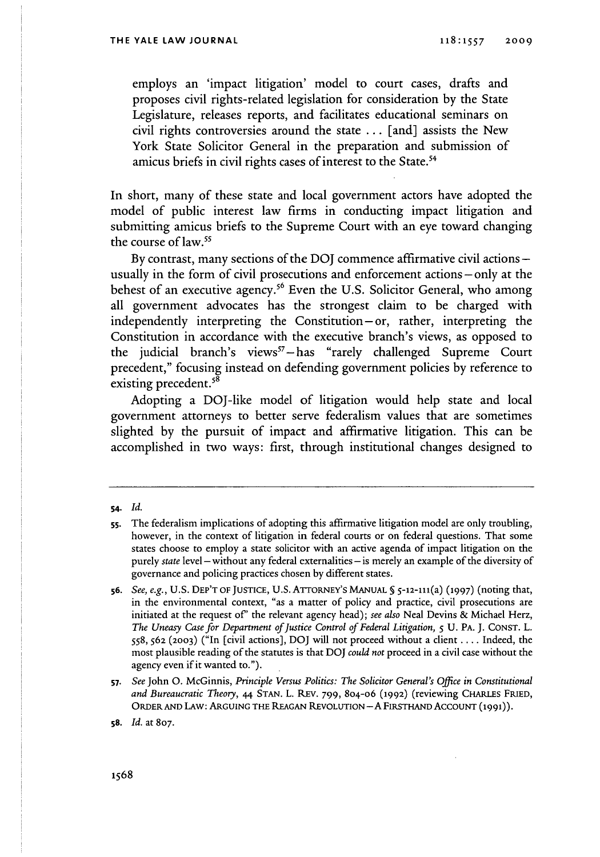employs an 'impact litigation' model to court cases, drafts and proposes civil rights-related legislation for consideration by the State Legislature, releases reports, and facilitates educational seminars on civil rights controversies around the state ... [and] assists the New York State Solicitor General in the preparation and submission of amicus briefs in civil rights cases of interest to the State.<sup>54</sup>

In short, many of these state and local government actors have adopted the model of public interest law firms in conducting impact litigation and submitting amicus briefs to the Supreme Court with an eye toward changing the course of law.<sup>55</sup>

By contrast, many sections of the DOJ commence affirmative civil actions  usually in the form of civil prosecutions and enforcement actions – only at the behest of an executive agency.<sup>56</sup> Even the U.S. Solicitor General, who among all government advocates has the strongest claim to be charged with independently interpreting the Constitution- or, rather, interpreting the Constitution in accordance with the executive branch's views, as opposed to the judicial branch's views<sup>57</sup> $-$ has "rarely challenged Supreme Court precedent," focusing instead on defending government policies by reference to existing precedent.<sup>58</sup>

Adopting a DOJ-like model of litigation would help state and local government attorneys to better serve federalism values that are sometimes slighted by the pursuit of impact and affirmative litigation. This can be accomplished in two ways: first, through institutional changes designed to

**1568**

**<sup>54.</sup>** *Id.*

**<sup>55.</sup>** The federalism implications of adopting this affirmative litigation model are only troubling, however, in the context of litigation in federal courts or on federal questions. That some states choose to employ a state solicitor with an active agenda of impact litigation on the purely state level - without any federal externalities - is merely an example of the diversity of governance and policing practices chosen by different states.

**<sup>56.</sup>** See, e.g., U.S. DEP'T OF JUSTICE, U.S. ATTORNEY'S MANUAL **§** 5-12-111(a) **(1997)** (noting that, in the environmental context, "as a matter of policy and practice, civil prosecutions are initiated at the request *of'* the relevant agency head); see *also* Neal Devins & Michael Herz, *The Uneasy Case for Department of Justice Control of Federal Litigation, s* **U.** PA. J. CONST. L. *558,* 562 **(2003)** ("In [civil actions], DOJ will not proceed without a client **....** Indeed, the most plausible reading of the statutes is that DOJ *could not* proceed in a civil case without the agency even if it wanted to.").

**<sup>57.</sup>** *See* John **0.** McGinnis, *Principle Versus Politics: The Solicitor General's Office in Constitutional and Bureaucratic Theory, 44* STAN. L. REV. 799, 804-o6 (1992) (reviewing CHARLES FRIED, ORDER **AND** LAw: **ARGUING THE REAGAN REVOLUTION -A** FIRSTHAND ACCOUNT **(1991)).**

**<sup>58.</sup>** *Id.* at **807.**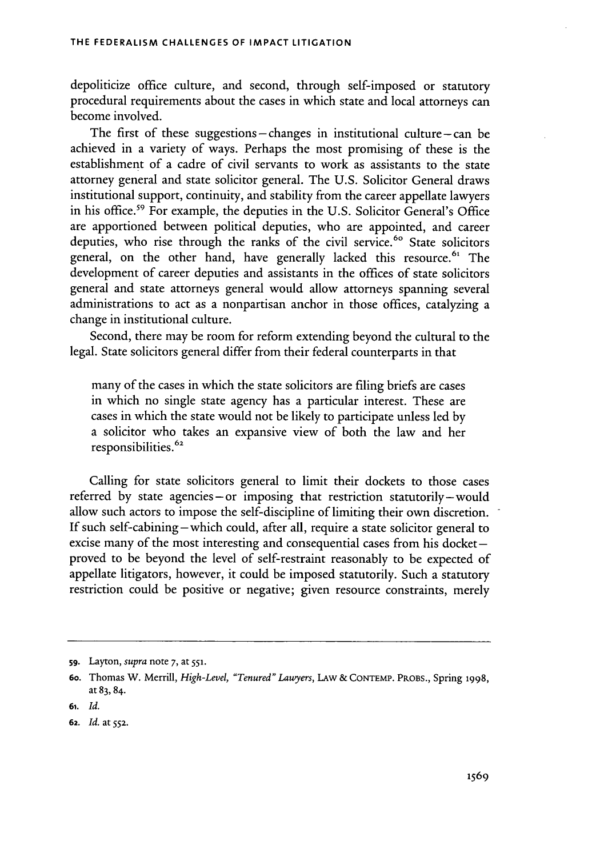depoliticize office culture, and second, through self-imposed or statutory procedural requirements about the cases in which state and local attorneys can become involved.

The first of these suggestions **-** changes in institutional culture **-** can be achieved in a variety of ways. Perhaps the most promising of these is the establishment of a cadre of civil servants to work as assistants to the state attorney general and state solicitor general. The U.S. Solicitor General draws institutional support, continuity, and stability from the career appellate lawyers in his office.<sup>59</sup> For example, the deputies in the U.S. Solicitor General's Office are apportioned between political deputies, who are appointed, and career deputies, who rise through the ranks of the civil service.<sup>60</sup> State solicitors general, on the other hand, have generally lacked this resource.<sup>61</sup> The development of career deputies and assistants in the offices of state solicitors general and state attorneys general would allow attorneys spanning several administrations to act as a nonpartisan anchor in those offices, catalyzing a change in institutional culture.

Second, there may be room for reform extending beyond the cultural to the legal. State solicitors general differ from their federal counterparts in that

many of the cases in which the state solicitors are filing briefs are cases in which no single state agency has a particular interest. These are cases in which the state would not be likely to participate unless led by a solicitor who takes an expansive view of both the law and her responsibilities.<sup>62</sup>

Calling for state solicitors general to limit their dockets to those cases referred by state agencies-or imposing that restriction statutorily-would allow such actors to impose the self-discipline of limiting their own discretion. If such self-cabining – which could, after all, require a state solicitor general to excise many of the most interesting and consequential cases from his docketproved to be beyond the level of self-restraint reasonably to be expected of appellate litigators, however, it could be imposed statutorily. Such a statutory restriction could be positive or negative; given resource constraints, merely

**<sup>5</sup>g.** Layton, *supra* note 7, at **551.**

**<sup>6</sup>o.** Thomas W. Merrill, *High-Level, "Tenured" Lawyers,* LAw & CONTEMP. PROBS., Spring 1998, at 83, 84.

**<sup>61.</sup>** *Id.*

**<sup>62.</sup>** *Id.* at **552.**